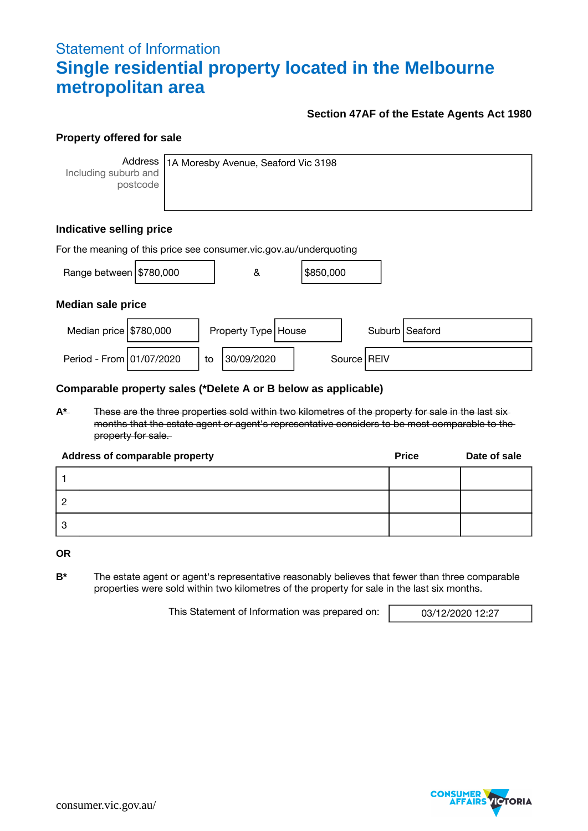## Statement of Information **Single residential property located in the Melbourne metropolitan area**

#### **Section 47AF of the Estate Agents Act 1980**

#### **Property offered for sale**

**Address** Including suburb and postcode

1A Moresby Avenue, Seaford Vic 3198

#### **Indicative selling price**

| For the meaning of this price see consumer vic.gov.au/underquoting |  |    |                       |  |           |  |               |                  |
|--------------------------------------------------------------------|--|----|-----------------------|--|-----------|--|---------------|------------------|
| Range between $$780,000$                                           |  |    | &                     |  | \$850,000 |  |               |                  |
| <b>Median sale price</b>                                           |  |    |                       |  |           |  |               |                  |
| Median price \$780,000                                             |  |    | Property Type   House |  |           |  |               | Suburb   Seaford |
| Period - From 01/07/2020                                           |  | to | 30/09/2020            |  |           |  | Source   REIV |                  |

#### **Comparable property sales (\*Delete A or B below as applicable)**

**A\*** These are the three properties sold within two kilometres of the property for sale in the last six months that the estate agent or agent's representative considers to be most comparable to the property for sale.

| Address of comparable property | <b>Price</b> | Date of sale |
|--------------------------------|--------------|--------------|
|                                |              |              |
|                                |              |              |
| 3                              |              |              |

**OR**

**B\*** The estate agent or agent's representative reasonably believes that fewer than three comparable properties were sold within two kilometres of the property for sale in the last six months.

This Statement of Information was prepared on: 03/12/2020 12:27